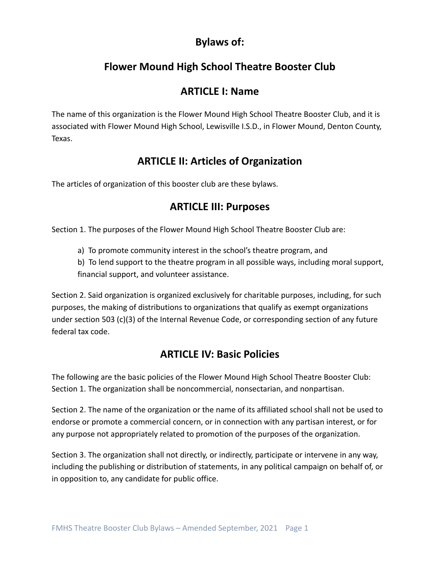# **Bylaws of:**

# **Flower Mound High School Theatre Booster Club**

## **ARTICLE I: Name**

The name of this organization is the Flower Mound High School Theatre Booster Club, and it is associated with Flower Mound High School, Lewisville I.S.D., in Flower Mound, Denton County, Texas.

# **ARTICLE II: Articles of Organization**

The articles of organization of this booster club are these bylaws.

### **ARTICLE III: Purposes**

Section 1. The purposes of the Flower Mound High School Theatre Booster Club are:

a) To promote community interest in the school's theatre program, and

b) To lend support to the theatre program in all possible ways, including moral support, financial support, and volunteer assistance.

Section 2. Said organization is organized exclusively for charitable purposes, including, for such purposes, the making of distributions to organizations that qualify as exempt organizations under section 503 (c)(3) of the Internal Revenue Code, or corresponding section of any future federal tax code.

## **ARTICLE IV: Basic Policies**

The following are the basic policies of the Flower Mound High School Theatre Booster Club: Section 1. The organization shall be noncommercial, nonsectarian, and nonpartisan.

Section 2. The name of the organization or the name of its affiliated school shall not be used to endorse or promote a commercial concern, or in connection with any partisan interest, or for any purpose not appropriately related to promotion of the purposes of the organization.

Section 3. The organization shall not directly, or indirectly, participate or intervene in any way, including the publishing or distribution of statements, in any political campaign on behalf of, or in opposition to, any candidate for public office.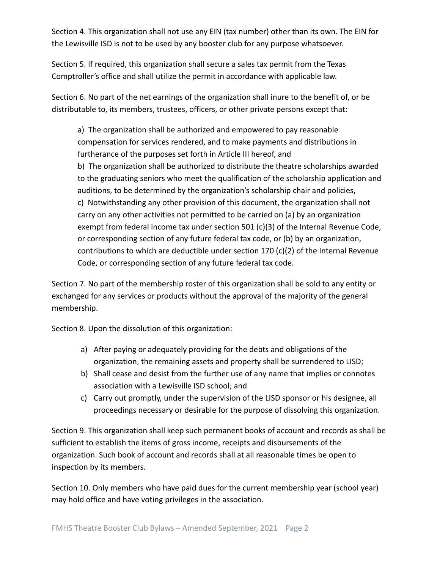Section 4. This organization shall not use any EIN (tax number) other than its own. The EIN for the Lewisville ISD is not to be used by any booster club for any purpose whatsoever.

Section 5. If required, this organization shall secure a sales tax permit from the Texas Comptroller's office and shall utilize the permit in accordance with applicable law.

Section 6. No part of the net earnings of the organization shall inure to the benefit of, or be distributable to, its members, trustees, officers, or other private persons except that:

a) The organization shall be authorized and empowered to pay reasonable compensation for services rendered, and to make payments and distributions in furtherance of the purposes set forth in Article III hereof, and b) The organization shall be authorized to distribute the theatre scholarships awarded to the graduating seniors who meet the qualification of the scholarship application and auditions, to be determined by the organization's scholarship chair and policies, c) Notwithstanding any other provision of this document, the organization shall not carry on any other activities not permitted to be carried on (a) by an organization exempt from federal income tax under section 501 (c)(3) of the Internal Revenue Code, or corresponding section of any future federal tax code, or (b) by an organization, contributions to which are deductible under section 170 (c)(2) of the Internal Revenue Code, or corresponding section of any future federal tax code.

Section 7. No part of the membership roster of this organization shall be sold to any entity or exchanged for any services or products without the approval of the majority of the general membership.

Section 8. Upon the dissolution of this organization:

- a) After paying or adequately providing for the debts and obligations of the organization, the remaining assets and property shall be surrendered to LISD;
- b) Shall cease and desist from the further use of any name that implies or connotes association with a Lewisville ISD school; and
- c) Carry out promptly, under the supervision of the LISD sponsor or his designee, all proceedings necessary or desirable for the purpose of dissolving this organization.

Section 9. This organization shall keep such permanent books of account and records as shall be sufficient to establish the items of gross income, receipts and disbursements of the organization. Such book of account and records shall at all reasonable times be open to inspection by its members.

Section 10. Only members who have paid dues for the current membership year (school year) may hold office and have voting privileges in the association.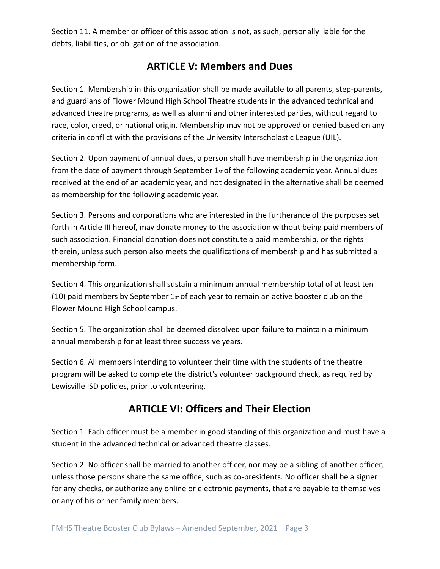Section 11. A member or officer of this association is not, as such, personally liable for the debts, liabilities, or obligation of the association.

### **ARTICLE V: Members and Dues**

Section 1. Membership in this organization shall be made available to all parents, step-parents, and guardians of Flower Mound High School Theatre students in the advanced technical and advanced theatre programs, as well as alumni and other interested parties, without regard to race, color, creed, or national origin. Membership may not be approved or denied based on any criteria in conflict with the provisions of the University Interscholastic League (UIL).

Section 2. Upon payment of annual dues, a person shall have membership in the organization from the date of payment through September  $1_{st}$  of the following academic year. Annual dues received at the end of an academic year, and not designated in the alternative shall be deemed as membership for the following academic year.

Section 3. Persons and corporations who are interested in the furtherance of the purposes set forth in Article III hereof, may donate money to the association without being paid members of such association. Financial donation does not constitute a paid membership, or the rights therein, unless such person also meets the qualifications of membership and has submitted a membership form.

Section 4. This organization shall sustain a minimum annual membership total of at least ten (10) paid members by September  $1<sub>st</sub>$  of each year to remain an active booster club on the Flower Mound High School campus.

Section 5. The organization shall be deemed dissolved upon failure to maintain a minimum annual membership for at least three successive years.

Section 6. All members intending to volunteer their time with the students of the theatre program will be asked to complete the district's volunteer background check, as required by Lewisville ISD policies, prior to volunteering.

## **ARTICLE VI: Officers and Their Election**

Section 1. Each officer must be a member in good standing of this organization and must have a student in the advanced technical or advanced theatre classes.

Section 2. No officer shall be married to another officer, nor may be a sibling of another officer, unless those persons share the same office, such as co-presidents. No officer shall be a signer for any checks, or authorize any online or electronic payments, that are payable to themselves or any of his or her family members.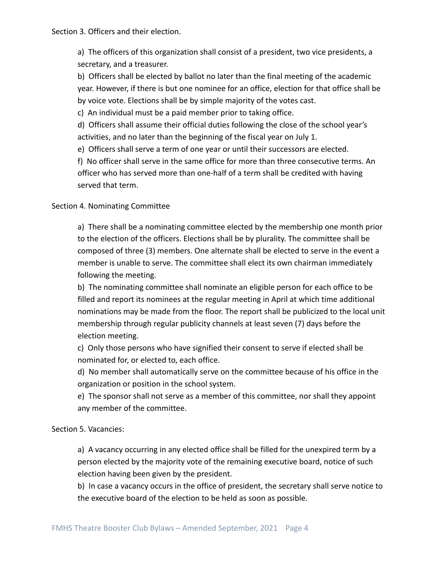a) The officers of this organization shall consist of a president, two vice presidents, a secretary, and a treasurer.

b) Officers shall be elected by ballot no later than the final meeting of the academic year. However, if there is but one nominee for an office, election for that office shall be by voice vote. Elections shall be by simple majority of the votes cast.

c) An individual must be a paid member prior to taking office.

d) Officers shall assume their official duties following the close of the school year's activities, and no later than the beginning of the fiscal year on July 1.

e) Officers shall serve a term of one year or until their successors are elected.

f) No officer shall serve in the same office for more than three consecutive terms. An officer who has served more than one-half of a term shall be credited with having served that term.

#### Section 4. Nominating Committee

a) There shall be a nominating committee elected by the membership one month prior to the election of the officers. Elections shall be by plurality. The committee shall be composed of three (3) members. One alternate shall be elected to serve in the event a member is unable to serve. The committee shall elect its own chairman immediately following the meeting.

b) The nominating committee shall nominate an eligible person for each office to be filled and report its nominees at the regular meeting in April at which time additional nominations may be made from the floor. The report shall be publicized to the local unit membership through regular publicity channels at least seven (7) days before the election meeting.

c) Only those persons who have signified their consent to serve if elected shall be nominated for, or elected to, each office.

d) No member shall automatically serve on the committee because of his office in the organization or position in the school system.

e) The sponsor shall not serve as a member of this committee, nor shall they appoint any member of the committee.

#### Section 5. Vacancies:

a) A vacancy occurring in any elected office shall be filled for the unexpired term by a person elected by the majority vote of the remaining executive board, notice of such election having been given by the president.

b) In case a vacancy occurs in the office of president, the secretary shall serve notice to the executive board of the election to be held as soon as possible.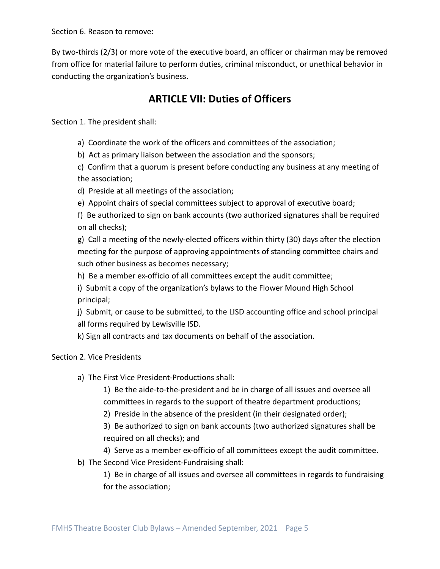Section 6. Reason to remove:

By two-thirds (2/3) or more vote of the executive board, an officer or chairman may be removed from office for material failure to perform duties, criminal misconduct, or unethical behavior in conducting the organization's business.

## **ARTICLE VII: Duties of Officers**

Section 1. The president shall:

a) Coordinate the work of the officers and committees of the association;

b) Act as primary liaison between the association and the sponsors;

c) Confirm that a quorum is present before conducting any business at any meeting of the association;

d) Preside at all meetings of the association;

e) Appoint chairs of special committees subject to approval of executive board;

f) Be authorized to sign on bank accounts (two authorized signatures shall be required on all checks);

g) Call a meeting of the newly-elected officers within thirty (30) days after the election meeting for the purpose of approving appointments of standing committee chairs and such other business as becomes necessary;

h) Be a member ex-officio of all committees except the audit committee;

i) Submit a copy of the organization's bylaws to the Flower Mound High School principal;

j) Submit, or cause to be submitted, to the LISD accounting office and school principal all forms required by Lewisville ISD.

k) Sign all contracts and tax documents on behalf of the association.

#### Section 2. Vice Presidents

a) The First Vice President-Productions shall:

1) Be the aide-to-the-president and be in charge of all issues and oversee all committees in regards to the support of theatre department productions;

2) Preside in the absence of the president (in their designated order);

3) Be authorized to sign on bank accounts (two authorized signatures shall be required on all checks); and

4) Serve as a member ex-officio of all committees except the audit committee.

b) The Second Vice President-Fundraising shall:

1) Be in charge of all issues and oversee all committees in regards to fundraising for the association;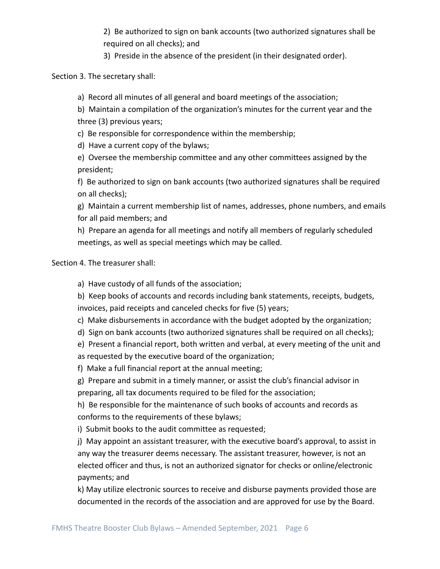2) Be authorized to sign on bank accounts (two authorized signatures shall be required on all checks); and

3) Preside in the absence of the president (in their designated order).

Section 3. The secretary shall:

a) Record all minutes of all general and board meetings of the association;

b) Maintain a compilation of the organization's minutes for the current year and the three (3) previous years;

c) Be responsible for correspondence within the membership;

d) Have a current copy of the bylaws;

e) Oversee the membership committee and any other committees assigned by the president;

f) Be authorized to sign on bank accounts (two authorized signatures shall be required on all checks);

g) Maintain a current membership list of names, addresses, phone numbers, and emails for all paid members; and

h) Prepare an agenda for all meetings and notify all members of regularly scheduled meetings, as well as special meetings which may be called.

Section 4. The treasurer shall:

a) Have custody of all funds of the association;

b) Keep books of accounts and records including bank statements, receipts, budgets, invoices, paid receipts and canceled checks for five (5) years;

- c) Make disbursements in accordance with the budget adopted by the organization;
- d) Sign on bank accounts (two authorized signatures shall be required on all checks);

e) Present a financial report, both written and verbal, at every meeting of the unit and as requested by the executive board of the organization;

f) Make a full financial report at the annual meeting;

g) Prepare and submit in a timely manner, or assist the club's financial advisor in preparing, all tax documents required to be filed for the association;

h) Be responsible for the maintenance of such books of accounts and records as conforms to the requirements of these bylaws;

i) Submit books to the audit committee as requested;

j) May appoint an assistant treasurer, with the executive board's approval, to assist in any way the treasurer deems necessary. The assistant treasurer, however, is not an elected officer and thus, is not an authorized signator for checks or online/electronic payments; and

k) May utilize electronic sources to receive and disburse payments provided those are documented in the records of the association and are approved for use by the Board.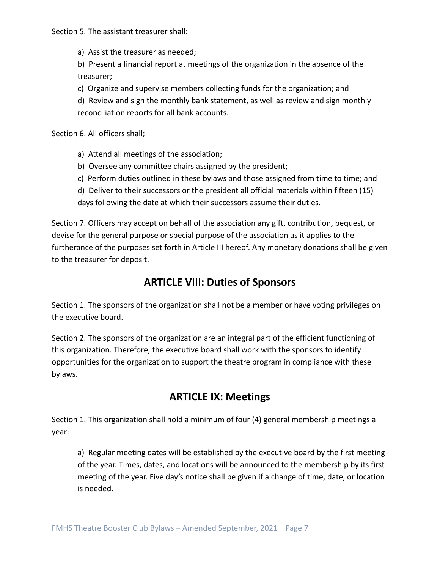Section 5. The assistant treasurer shall:

a) Assist the treasurer as needed;

b) Present a financial report at meetings of the organization in the absence of the treasurer;

c) Organize and supervise members collecting funds for the organization; and

d) Review and sign the monthly bank statement, as well as review and sign monthly reconciliation reports for all bank accounts.

Section 6. All officers shall;

- a) Attend all meetings of the association;
- b) Oversee any committee chairs assigned by the president;
- c) Perform duties outlined in these bylaws and those assigned from time to time; and
- d) Deliver to their successors or the president all official materials within fifteen (15) days following the date at which their successors assume their duties.

Section 7. Officers may accept on behalf of the association any gift, contribution, bequest, or devise for the general purpose or special purpose of the association as it applies to the furtherance of the purposes set forth in Article III hereof. Any monetary donations shall be given to the treasurer for deposit.

### **ARTICLE VIII: Duties of Sponsors**

Section 1. The sponsors of the organization shall not be a member or have voting privileges on the executive board.

Section 2. The sponsors of the organization are an integral part of the efficient functioning of this organization. Therefore, the executive board shall work with the sponsors to identify opportunities for the organization to support the theatre program in compliance with these bylaws.

## **ARTICLE IX: Meetings**

Section 1. This organization shall hold a minimum of four (4) general membership meetings a year:

a) Regular meeting dates will be established by the executive board by the first meeting of the year. Times, dates, and locations will be announced to the membership by its first meeting of the year. Five day's notice shall be given if a change of time, date, or location is needed.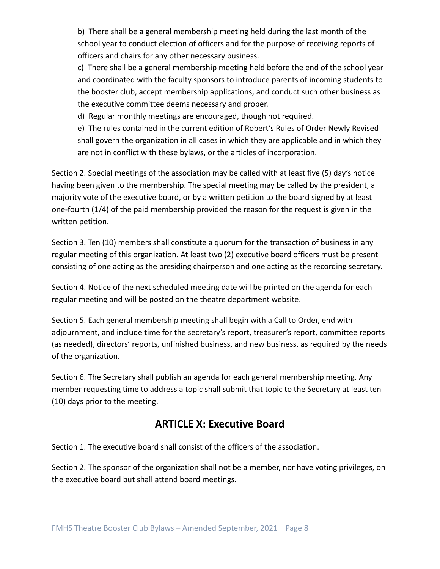b) There shall be a general membership meeting held during the last month of the school year to conduct election of officers and for the purpose of receiving reports of officers and chairs for any other necessary business.

c) There shall be a general membership meeting held before the end of the school year and coordinated with the faculty sponsors to introduce parents of incoming students to the booster club, accept membership applications, and conduct such other business as the executive committee deems necessary and proper.

d) Regular monthly meetings are encouraged, though not required.

e) The rules contained in the current edition of Robert's Rules of Order Newly Revised shall govern the organization in all cases in which they are applicable and in which they are not in conflict with these bylaws, or the articles of incorporation.

Section 2. Special meetings of the association may be called with at least five (5) day's notice having been given to the membership. The special meeting may be called by the president, a majority vote of the executive board, or by a written petition to the board signed by at least one-fourth (1/4) of the paid membership provided the reason for the request is given in the written petition.

Section 3. Ten (10) members shall constitute a quorum for the transaction of business in any regular meeting of this organization. At least two (2) executive board officers must be present consisting of one acting as the presiding chairperson and one acting as the recording secretary.

Section 4. Notice of the next scheduled meeting date will be printed on the agenda for each regular meeting and will be posted on the theatre department website.

Section 5. Each general membership meeting shall begin with a Call to Order, end with adjournment, and include time for the secretary's report, treasurer's report, committee reports (as needed), directors' reports, unfinished business, and new business, as required by the needs of the organization.

Section 6. The Secretary shall publish an agenda for each general membership meeting. Any member requesting time to address a topic shall submit that topic to the Secretary at least ten (10) days prior to the meeting.

### **ARTICLE X: Executive Board**

Section 1. The executive board shall consist of the officers of the association.

Section 2. The sponsor of the organization shall not be a member, nor have voting privileges, on the executive board but shall attend board meetings.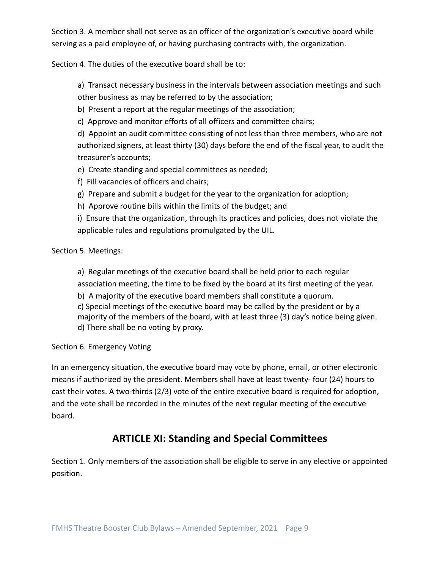Section 3. A member shall not serve as an officer of the organization's executive board while serving as a paid employee of, or having purchasing contracts with, the organization.

Section 4. The duties of the executive board shall be to:

a) Transact necessary business in the intervals between association meetings and such other business as may be referred to by the association;

b) Present a report at the regular meetings of the association;

c) Approve and monitor efforts of all officers and committee chairs;

d) Appoint an audit committee consisting of not less than three members, who are not authorized signers, at least thirty (30) days before the end of the fiscal year, to audit the treasurer's accounts;

e) Create standing and special committees as needed;

- f) Fill vacancies of officers and chairs;
- g) Prepare and submit a budget for the year to the organization for adoption;
- h) Approve routine bills within the limits of the budget; and

i) Ensure that the organization, through its practices and policies, does not violate the applicable rules and regulations promulgated by the UIL.

Section 5. Meetings:

a) Regular meetings of the executive board shall be held prior to each regular

association meeting, the time to be fixed by the board at its first meeting of the year.

b) A majority of the executive board members shall constitute a quorum.

c) Special meetings of the executive board may be called by the president or by a majority of the members of the board, with at least three (3) day's notice being given. d) There shall be no voting by proxy.

Section 6. Emergency Voting

In an emergency situation, the executive board may vote by phone, email, or other electronic means if authorized by the president. Members shall have at least twenty- four (24) hours to cast their votes. A two-thirds (2/3) vote of the entire executive board is required for adoption, and the vote shall be recorded in the minutes of the next regular meeting of the executive board.

## **ARTICLE XI: Standing and Special Committees**

Section 1. Only members of the association shall be eligible to serve in any elective or appointed position.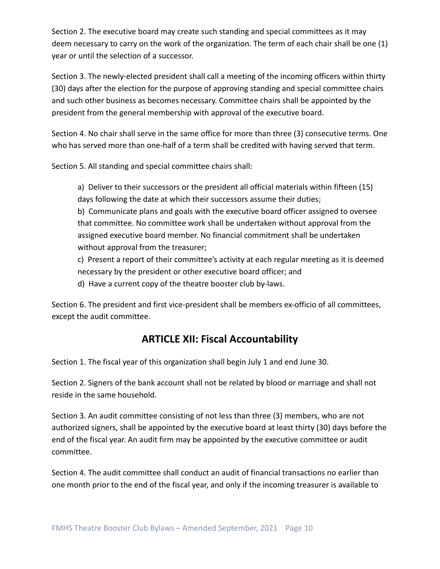Section 2. The executive board may create such standing and special committees as it may deem necessary to carry on the work of the organization. The term of each chair shall be one (1) year or until the selection of a successor.

Section 3. The newly-elected president shall call a meeting of the incoming officers within thirty (30) days after the election for the purpose of approving standing and special committee chairs and such other business as becomes necessary. Committee chairs shall be appointed by the president from the general membership with approval of the executive board.

Section 4. No chair shall serve in the same office for more than three (3) consecutive terms. One who has served more than one-half of a term shall be credited with having served that term.

Section 5. All standing and special committee chairs shall:

a) Deliver to their successors or the president all official materials within fifteen (15) days following the date at which their successors assume their duties;

b) Communicate plans and goals with the executive board officer assigned to oversee that committee. No committee work shall be undertaken without approval from the assigned executive board member. No financial commitment shall be undertaken without approval from the treasurer;

c) Present a report of their committee's activity at each regular meeting as it is deemed necessary by the president or other executive board officer; and

d) Have a current copy of the theatre booster club by-laws.

Section 6. The president and first vice-president shall be members ex-officio of all committees, except the audit committee.

### **ARTICLE XII: Fiscal Accountability**

Section 1. The fiscal year of this organization shall begin July 1 and end June 30.

Section 2. Signers of the bank account shall not be related by blood or marriage and shall not reside in the same household.

Section 3. An audit committee consisting of not less than three (3) members, who are not authorized signers, shall be appointed by the executive board at least thirty (30) days before the end of the fiscal year. An audit firm may be appointed by the executive committee or audit committee.

Section 4. The audit committee shall conduct an audit of financial transactions no earlier than one month prior to the end of the fiscal year, and only if the incoming treasurer is available to